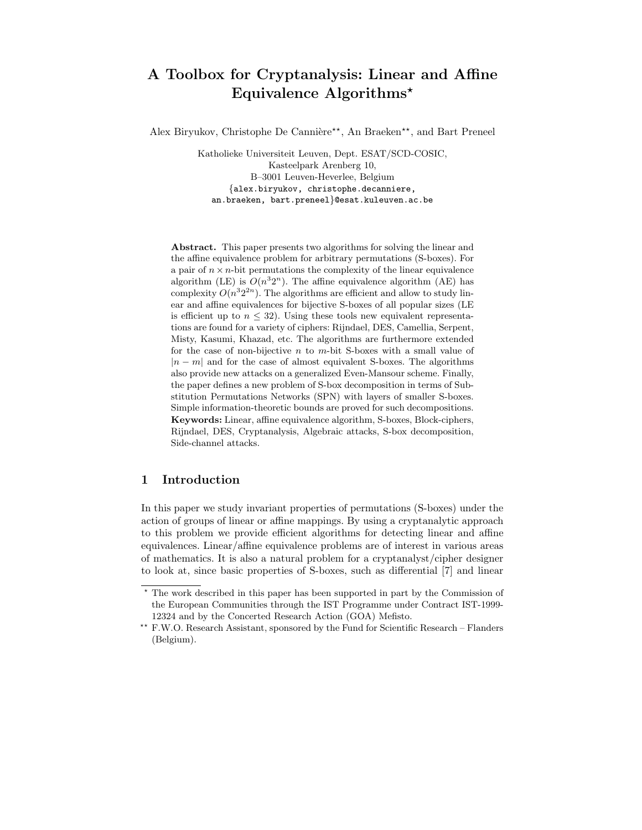# A Toolbox for Cryptanalysis: Linear and Affine Equivalence Algorithms<sup>\*</sup>

Alex Biryukov, Christophe De Cannière<sup>\*\*</sup>, An Braeken<sup>\*\*</sup>, and Bart Preneel

Katholieke Universiteit Leuven, Dept. ESAT/SCD-COSIC, Kasteelpark Arenberg 10, B–3001 Leuven-Heverlee, Belgium {alex.biryukov, christophe.decanniere, an.braeken, bart.preneel}@esat.kuleuven.ac.be

Abstract. This paper presents two algorithms for solving the linear and the affine equivalence problem for arbitrary permutations (S-boxes). For a pair of  $n \times n$ -bit permutations the complexity of the linear equivalence algorithm (LE) is  $O(n^32^n)$ . The affine equivalence algorithm (AE) has complexity  $O(n^3 2^{2n})$ . The algorithms are efficient and allow to study linear and affine equivalences for bijective S-boxes of all popular sizes (LE is efficient up to  $n \leq 32$ ). Using these tools new equivalent representations are found for a variety of ciphers: Rijndael, DES, Camellia, Serpent, Misty, Kasumi, Khazad, etc. The algorithms are furthermore extended for the case of non-bijective  $n$  to  $m$ -bit S-boxes with a small value of  $|n - m|$  and for the case of almost equivalent S-boxes. The algorithms also provide new attacks on a generalized Even-Mansour scheme. Finally, the paper defines a new problem of S-box decomposition in terms of Substitution Permutations Networks (SPN) with layers of smaller S-boxes. Simple information-theoretic bounds are proved for such decompositions. Keywords: Linear, affine equivalence algorithm, S-boxes, Block-ciphers, Rijndael, DES, Cryptanalysis, Algebraic attacks, S-box decomposition, Side-channel attacks.

## 1 Introduction

In this paper we study invariant properties of permutations (S-boxes) under the action of groups of linear or affine mappings. By using a cryptanalytic approach to this problem we provide efficient algorithms for detecting linear and affine equivalences. Linear/affine equivalence problems are of interest in various areas of mathematics. It is also a natural problem for a cryptanalyst/cipher designer to look at, since basic properties of S-boxes, such as differential [7] and linear

<sup>?</sup> The work described in this paper has been supported in part by the Commission of the European Communities through the IST Programme under Contract IST-1999- 12324 and by the Concerted Research Action (GOA) Mefisto.

<sup>\*\*</sup> F.W.O. Research Assistant, sponsored by the Fund for Scientific Research – Flanders (Belgium).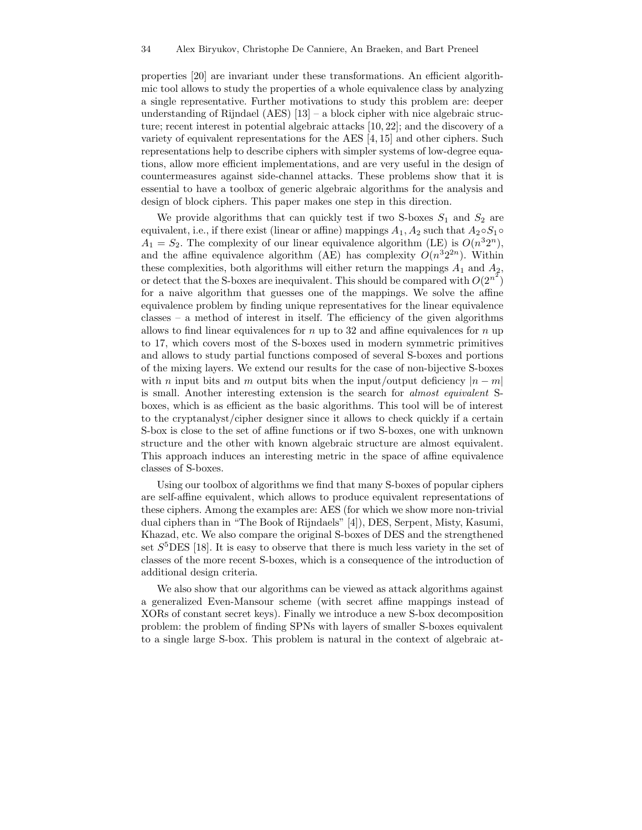properties [20] are invariant under these transformations. An efficient algorithmic tool allows to study the properties of a whole equivalence class by analyzing a single representative. Further motivations to study this problem are: deeper understanding of Rijndael  $(AES)$  [13] – a block cipher with nice algebraic structure; recent interest in potential algebraic attacks [10, 22]; and the discovery of a variety of equivalent representations for the AES [4, 15] and other ciphers. Such representations help to describe ciphers with simpler systems of low-degree equations, allow more efficient implementations, and are very useful in the design of countermeasures against side-channel attacks. These problems show that it is essential to have a toolbox of generic algebraic algorithms for the analysis and design of block ciphers. This paper makes one step in this direction.

We provide algorithms that can quickly test if two S-boxes  $S_1$  and  $S_2$  are equivalent, i.e., if there exist (linear or affine) mappings  $A_1, A_2$  such that  $A_2 \circ S_1 \circ$  $A_1 = S_2$ . The complexity of our linear equivalence algorithm (LE) is  $O(n^3 2^n)$ , and the affine equivalence algorithm (AE) has complexity  $O(n^3 2^{2n})$ . Within these complexities, both algorithms will either return the mappings  $A_1$  and  $A_2$ , or detect that the S-boxes are inequivalent. This should be compared with  $O(2^{n^2})$ for a naive algorithm that guesses one of the mappings. We solve the affine equivalence problem by finding unique representatives for the linear equivalence classes – a method of interest in itself. The efficiency of the given algorithms allows to find linear equivalences for  $n$  up to 32 and affine equivalences for  $n$  up to 17, which covers most of the S-boxes used in modern symmetric primitives and allows to study partial functions composed of several S-boxes and portions of the mixing layers. We extend our results for the case of non-bijective S-boxes with n input bits and m output bits when the input/output deficiency  $|n - m|$ is small. Another interesting extension is the search for almost equivalent Sboxes, which is as efficient as the basic algorithms. This tool will be of interest to the cryptanalyst/cipher designer since it allows to check quickly if a certain S-box is close to the set of affine functions or if two S-boxes, one with unknown structure and the other with known algebraic structure are almost equivalent. This approach induces an interesting metric in the space of affine equivalence classes of S-boxes.

Using our toolbox of algorithms we find that many S-boxes of popular ciphers are self-affine equivalent, which allows to produce equivalent representations of these ciphers. Among the examples are: AES (for which we show more non-trivial dual ciphers than in "The Book of Rijndaels" [4]), DES, Serpent, Misty, Kasumi, Khazad, etc. We also compare the original S-boxes of DES and the strengthened set  $S^5$ DES [18]. It is easy to observe that there is much less variety in the set of classes of the more recent S-boxes, which is a consequence of the introduction of additional design criteria.

We also show that our algorithms can be viewed as attack algorithms against a generalized Even-Mansour scheme (with secret affine mappings instead of XORs of constant secret keys). Finally we introduce a new S-box decomposition problem: the problem of finding SPNs with layers of smaller S-boxes equivalent to a single large S-box. This problem is natural in the context of algebraic at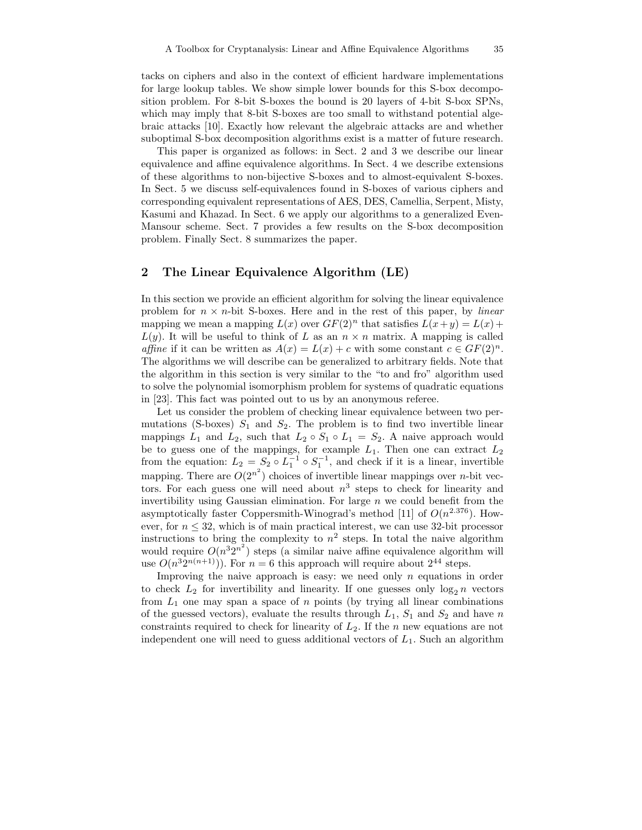tacks on ciphers and also in the context of efficient hardware implementations for large lookup tables. We show simple lower bounds for this S-box decomposition problem. For 8-bit S-boxes the bound is 20 layers of 4-bit S-box SPNs, which may imply that 8-bit S-boxes are too small to withstand potential algebraic attacks [10]. Exactly how relevant the algebraic attacks are and whether suboptimal S-box decomposition algorithms exist is a matter of future research.

This paper is organized as follows: in Sect. 2 and 3 we describe our linear equivalence and affine equivalence algorithms. In Sect. 4 we describe extensions of these algorithms to non-bijective S-boxes and to almost-equivalent S-boxes. In Sect. 5 we discuss self-equivalences found in S-boxes of various ciphers and corresponding equivalent representations of AES, DES, Camellia, Serpent, Misty, Kasumi and Khazad. In Sect. 6 we apply our algorithms to a generalized Even-Mansour scheme. Sect. 7 provides a few results on the S-box decomposition problem. Finally Sect. 8 summarizes the paper.

## 2 The Linear Equivalence Algorithm (LE)

In this section we provide an efficient algorithm for solving the linear equivalence problem for  $n \times n$ -bit S-boxes. Here and in the rest of this paper, by *linear* mapping we mean a mapping  $L(x)$  over  $GF(2)^n$  that satisfies  $L(x+y) = L(x) +$  $L(y)$ . It will be useful to think of L as an  $n \times n$  matrix. A mapping is called affine if it can be written as  $A(x) = L(x) + c$  with some constant  $c \in GF(2)^n$ . The algorithms we will describe can be generalized to arbitrary fields. Note that the algorithm in this section is very similar to the "to and fro" algorithm used to solve the polynomial isomorphism problem for systems of quadratic equations in [23]. This fact was pointed out to us by an anonymous referee.

Let us consider the problem of checking linear equivalence between two permutations (S-boxes)  $S_1$  and  $S_2$ . The problem is to find two invertible linear mappings  $L_1$  and  $L_2$ , such that  $L_2 \circ S_1 \circ L_1 = S_2$ . A naive approach would be to guess one of the mappings, for example  $L_1$ . Then one can extract  $L_2$ from the equation:  $L_2 = S_2 \circ L_1^{-1} \circ S_1^{-1}$ , and check if it is a linear, invertible mapping. There are  $O(2^{n^2})$  choices of invertible linear mappings over *n*-bit vectors. For each guess one will need about  $n^3$  steps to check for linearity and invertibility using Gaussian elimination. For large  $n$  we could benefit from the asymptotically faster Coppersmith-Winograd's method [11] of  $O(n^{2.376})$ . However, for  $n \leq 32$ , which is of main practical interest, we can use 32-bit processor instructions to bring the complexity to  $n^2$  steps. In total the naive algorithm would require  $O(n^3 2^{n^2})$  steps (a similar naive affine equivalence algorithm will use  $O(n^3 2^{n(n+1)})$ . For  $n = 6$  this approach will require about  $2^{44}$  steps.

Improving the naive approach is easy: we need only  $n$  equations in order to check  $L_2$  for invertibility and linearity. If one guesses only  $\log_2 n$  vectors from  $L_1$  one may span a space of n points (by trying all linear combinations of the guessed vectors), evaluate the results through  $L_1$ ,  $S_1$  and  $S_2$  and have n constraints required to check for linearity of  $L_2$ . If the n new equations are not independent one will need to guess additional vectors of  $L_1$ . Such an algorithm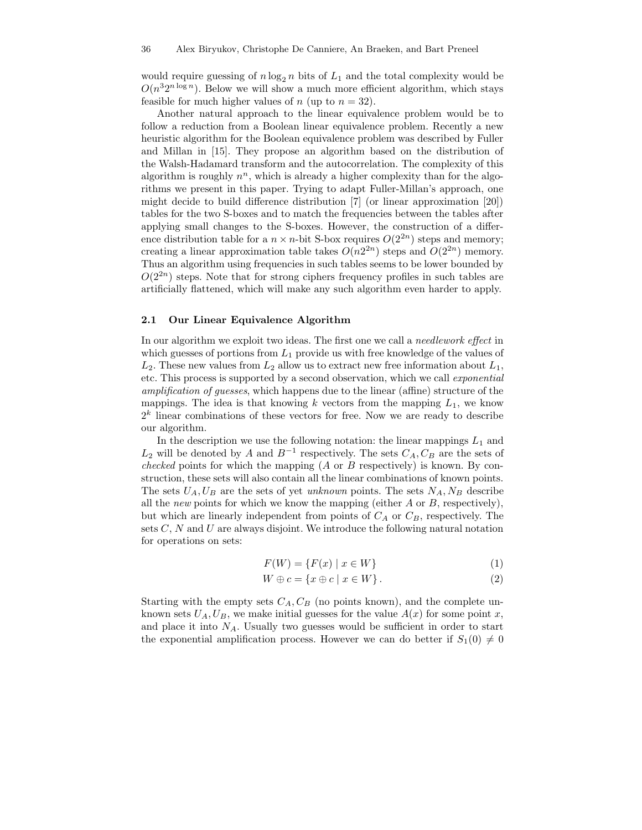would require guessing of  $n \log_2 n$  bits of  $L_1$  and the total complexity would be  $O(n^32^{n \log n})$ . Below we will show a much more efficient algorithm, which stays feasible for much higher values of n (up to  $n = 32$ ).

Another natural approach to the linear equivalence problem would be to follow a reduction from a Boolean linear equivalence problem. Recently a new heuristic algorithm for the Boolean equivalence problem was described by Fuller and Millan in [15]. They propose an algorithm based on the distribution of the Walsh-Hadamard transform and the autocorrelation. The complexity of this algorithm is roughly  $n^n$ , which is already a higher complexity than for the algorithms we present in this paper. Trying to adapt Fuller-Millan's approach, one might decide to build difference distribution [7] (or linear approximation [20]) tables for the two S-boxes and to match the frequencies between the tables after applying small changes to the S-boxes. However, the construction of a difference distribution table for a  $n \times n$ -bit S-box requires  $O(2^{2n})$  steps and memory; creating a linear approximation table takes  $O(n2^{2n})$  steps and  $O(2^{2n})$  memory. Thus an algorithm using frequencies in such tables seems to be lower bounded by  $O(2^{2n})$  steps. Note that for strong ciphers frequency profiles in such tables are artificially flattened, which will make any such algorithm even harder to apply.

#### 2.1 Our Linear Equivalence Algorithm

In our algorithm we exploit two ideas. The first one we call a needlework effect in which guesses of portions from  $L_1$  provide us with free knowledge of the values of  $L_2$ . These new values from  $L_2$  allow us to extract new free information about  $L_1$ , etc. This process is supported by a second observation, which we call exponential amplification of guesses, which happens due to the linear (affine) structure of the mappings. The idea is that knowing k vectors from the mapping  $L_1$ , we know  $2<sup>k</sup>$  linear combinations of these vectors for free. Now we are ready to describe our algorithm.

In the description we use the following notation: the linear mappings  $L_1$  and  $L_2$  will be denoted by A and  $B^{-1}$  respectively. The sets  $C_A, C_B$  are the sets of *checked* points for which the mapping  $(A \text{ or } B$  respectively) is known. By construction, these sets will also contain all the linear combinations of known points. The sets  $U_A, U_B$  are the sets of yet unknown points. The sets  $N_A, N_B$  describe all the *new* points for which we know the mapping (either  $A$  or  $B$ , respectively), but which are linearly independent from points of  $C_A$  or  $C_B$ , respectively. The sets  $C, N$  and  $U$  are always disjoint. We introduce the following natural notation for operations on sets:

$$
F(W) = \{F(x) \mid x \in W\}
$$
\n<sup>(1)</sup>

$$
W \oplus c = \{x \oplus c \mid x \in W\}.
$$
 (2)

Starting with the empty sets  $C_A, C_B$  (no points known), and the complete unknown sets  $U_A, U_B$ , we make initial guesses for the value  $A(x)$  for some point x, and place it into  $N_A$ . Usually two guesses would be sufficient in order to start the exponential amplification process. However we can do better if  $S_1(0) \neq 0$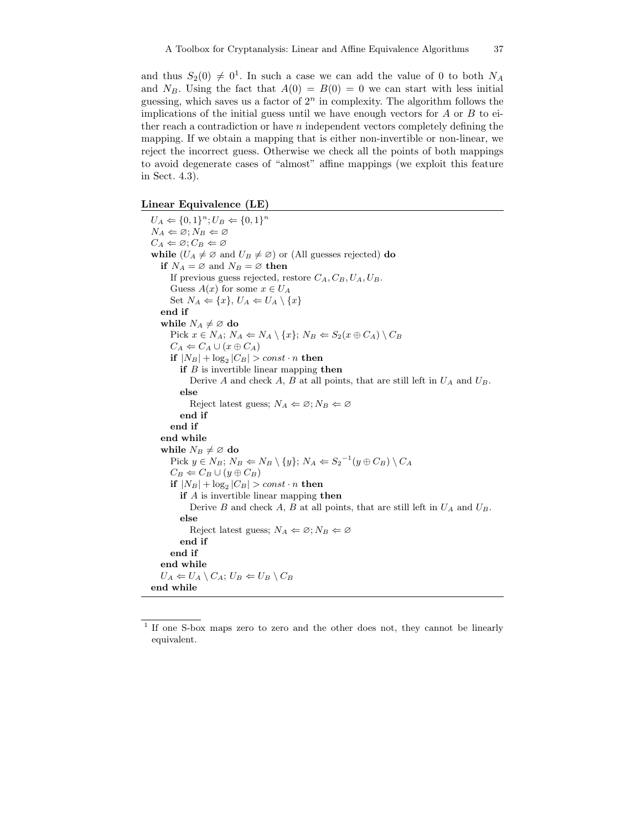and thus  $S_2(0) \neq 0^1$ . In such a case we can add the value of 0 to both  $N_A$ and  $N_B$ . Using the fact that  $A(0) = B(0) = 0$  we can start with less initial guessing, which saves us a factor of  $2<sup>n</sup>$  in complexity. The algorithm follows the implications of the initial guess until we have enough vectors for  $A$  or  $B$  to either reach a contradiction or have  $n$  independent vectors completely defining the mapping. If we obtain a mapping that is either non-invertible or non-linear, we reject the incorrect guess. Otherwise we check all the points of both mappings to avoid degenerate cases of "almost" affine mappings (we exploit this feature in Sect. 4.3).

#### Linear Equivalence (LE)

 $U_A \Leftarrow \{0, 1\}^n; U_B \Leftarrow \{0, 1\}^n$  $N_A \Leftarrow \varnothing; N_B \Leftarrow \varnothing$  $C_A \Leftarrow \emptyset$ ;  $C_B \Leftarrow \emptyset$ while  $(U_A \neq \emptyset$  and  $U_B \neq \emptyset)$  or (All guesses rejected) do if  $N_A = \emptyset$  and  $N_B = \emptyset$  then If previous guess rejected, restore  $C_A$ ,  $C_B$ ,  $U_A$ ,  $U_B$ . Guess  $A(x)$  for some  $x \in U_A$ Set  $N_A \Leftarrow \{x\}, U_A \Leftarrow U_A \setminus \{x\}$ end if while  $N_A \neq \emptyset$  do Pick  $x \in N_A$ ;  $N_A \leftarrow N_A \setminus \{x\}$ ;  $N_B \leftarrow S_2(x \oplus C_A) \setminus C_B$  $C_A \Leftarrow C_A \cup (x \oplus C_A)$ if  $|N_B| + \log_2 |C_B|$  > const  $\cdot n$  then if  $B$  is invertible linear mapping then Derive A and check A, B at all points, that are still left in  $U_A$  and  $U_B$ . else Reject latest guess;  $N_A \Leftarrow \emptyset$ ;  $N_B \Leftarrow \emptyset$ end if end if end while while  $N_B \neq \emptyset$  do Pick  $y \in N_B$ ;  $N_B \leftarrow N_B \setminus \{y\}$ ;  $N_A \leftarrow S_2^{-1}(y \oplus C_B) \setminus C_A$  $C_B \leftarrow C_B \cup (y \oplus C_B)$  $\mathbf{if}~|N_B|+\log_2|C_B|>const\cdot n~\mathbf{then}$ if A is invertible linear mapping then Derive B and check A, B at all points, that are still left in  $U_A$  and  $U_B$ . else Reject latest guess;  $N_A \Leftarrow \emptyset$ ;  $N_B \Leftarrow \emptyset$ end if end if end while  $U_A \leftarrow U_A \setminus C_A$ ;  $U_B \leftarrow U_B \setminus C_B$ end while

<sup>&</sup>lt;sup>1</sup> If one S-box maps zero to zero and the other does not, they cannot be linearly equivalent.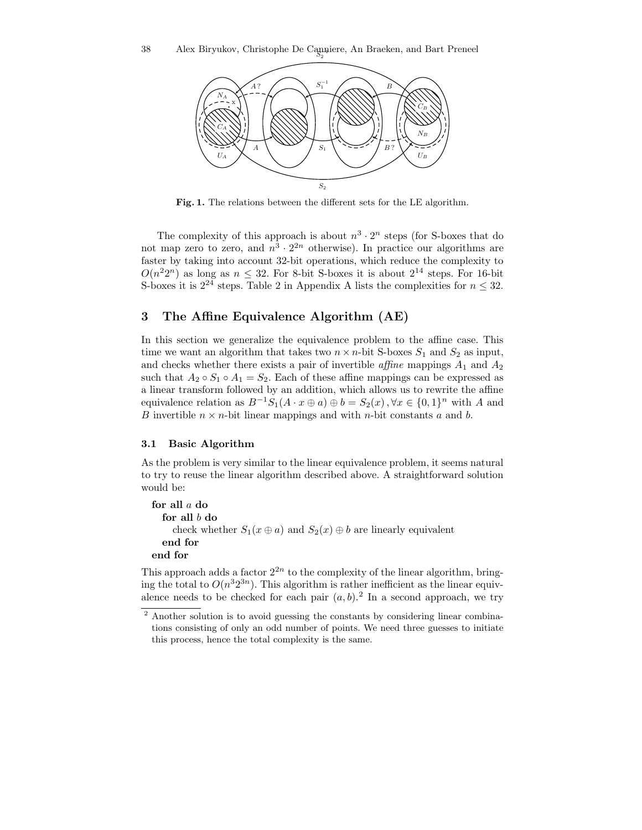

Fig. 1. The relations between the different sets for the LE algorithm.

The complexity of this approach is about  $n^3 \cdot 2^n$  steps (for S-boxes that do not map zero to zero, and  $n^3 \cdot 2^{2n}$  otherwise). In practice our algorithms are faster by taking into account 32-bit operations, which reduce the complexity to  $O(n^22^n)$  as long as  $n \leq 32$ . For 8-bit S-boxes it is about  $2^{14}$  steps. For 16-bit S-boxes it is  $2^{24}$  steps. Table 2 in Appendix A lists the complexities for  $n \leq 32$ .

## 3 The Affine Equivalence Algorithm (AE)

In this section we generalize the equivalence problem to the affine case. This time we want an algorithm that takes two  $n \times n$ -bit S-boxes  $S_1$  and  $S_2$  as input, and checks whether there exists a pair of invertible *affine* mappings  $A_1$  and  $A_2$ such that  $A_2 \circ S_1 \circ A_1 = S_2$ . Each of these affine mappings can be expressed as a linear transform followed by an addition, which allows us to rewrite the affine equivalence relation as  $B^{-1}S_1(A \cdot x \oplus a) \oplus b = S_2(x), \forall x \in \{0,1\}^n$  with A and B invertible  $n \times n$ -bit linear mappings and with n-bit constants a and b.

#### 3.1 Basic Algorithm

As the problem is very similar to the linear equivalence problem, it seems natural to try to reuse the linear algorithm described above. A straightforward solution would be:

```
for all a do
  for all b do
     check whether S_1(x \oplus a) and S_2(x) \oplus b are linearly equivalent
  end for
end for
```
This approach adds a factor  $2^{2n}$  to the complexity of the linear algorithm, bringing the total to  $O(n^3 2^{3n})$ . This algorithm is rather inefficient as the linear equivalence needs to be checked for each pair  $(a, b)$ .<sup>2</sup> In a second approach, we try

<sup>2</sup> Another solution is to avoid guessing the constants by considering linear combinations consisting of only an odd number of points. We need three guesses to initiate this process, hence the total complexity is the same.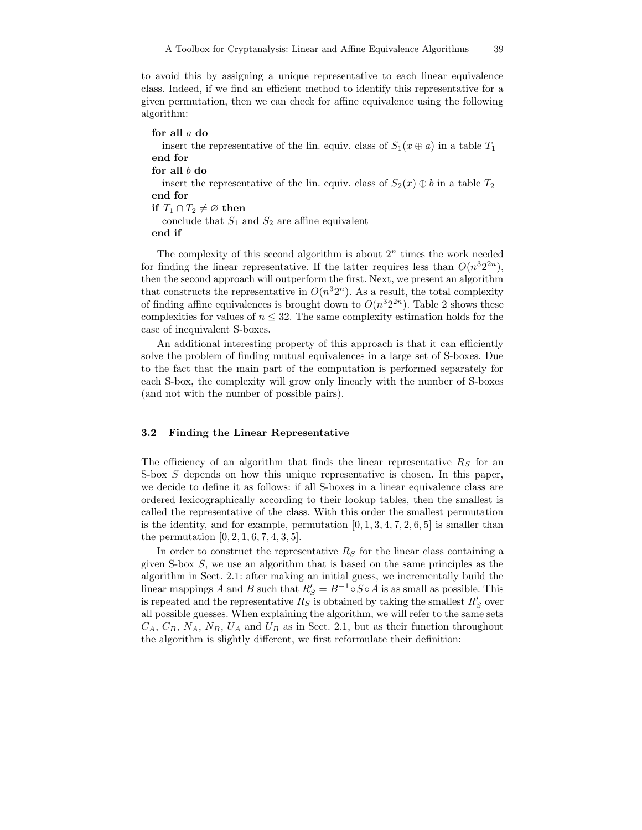to avoid this by assigning a unique representative to each linear equivalence class. Indeed, if we find an efficient method to identify this representative for a given permutation, then we can check for affine equivalence using the following algorithm:

for all a do insert the representative of the lin. equiv. class of  $S_1(x \oplus a)$  in a table  $T_1$ end for for all  $b$  do insert the representative of the lin. equiv. class of  $S_2(x) \oplus b$  in a table  $T_2$ end for if  $T_1 \cap T_2 \neq \emptyset$  then conclude that  $S_1$  and  $S_2$  are affine equivalent end if

The complexity of this second algorithm is about  $2<sup>n</sup>$  times the work needed for finding the linear representative. If the latter requires less than  $O(n^3 2^{2n})$ , then the second approach will outperform the first. Next, we present an algorithm that constructs the representative in  $O(n^3 2^n)$ . As a result, the total complexity of finding affine equivalences is brought down to  $O(n^{3}2^{2n})$ . Table 2 shows these complexities for values of  $n \leq 32$ . The same complexity estimation holds for the case of inequivalent S-boxes.

An additional interesting property of this approach is that it can efficiently solve the problem of finding mutual equivalences in a large set of S-boxes. Due to the fact that the main part of the computation is performed separately for each S-box, the complexity will grow only linearly with the number of S-boxes (and not with the number of possible pairs).

#### 3.2 Finding the Linear Representative

The efficiency of an algorithm that finds the linear representative  $R<sub>S</sub>$  for an S-box S depends on how this unique representative is chosen. In this paper, we decide to define it as follows: if all S-boxes in a linear equivalence class are ordered lexicographically according to their lookup tables, then the smallest is called the representative of the class. With this order the smallest permutation is the identity, and for example, permutation  $[0, 1, 3, 4, 7, 2, 6, 5]$  is smaller than the permutation  $[0, 2, 1, 6, 7, 4, 3, 5]$ .

In order to construct the representative  $R<sub>S</sub>$  for the linear class containing a given S-box S, we use an algorithm that is based on the same principles as the algorithm in Sect. 2.1: after making an initial guess, we incrementally build the linear mappings A and B such that  $R'_S = B^{-1} \circ S \circ A$  is as small as possible. This is repeated and the representative  $R_S$  is obtained by taking the smallest  $R'_S$  over all possible guesses. When explaining the algorithm, we will refer to the same sets  $C_A$ ,  $C_B$ ,  $N_A$ ,  $N_B$ ,  $U_A$  and  $U_B$  as in Sect. 2.1, but as their function throughout the algorithm is slightly different, we first reformulate their definition: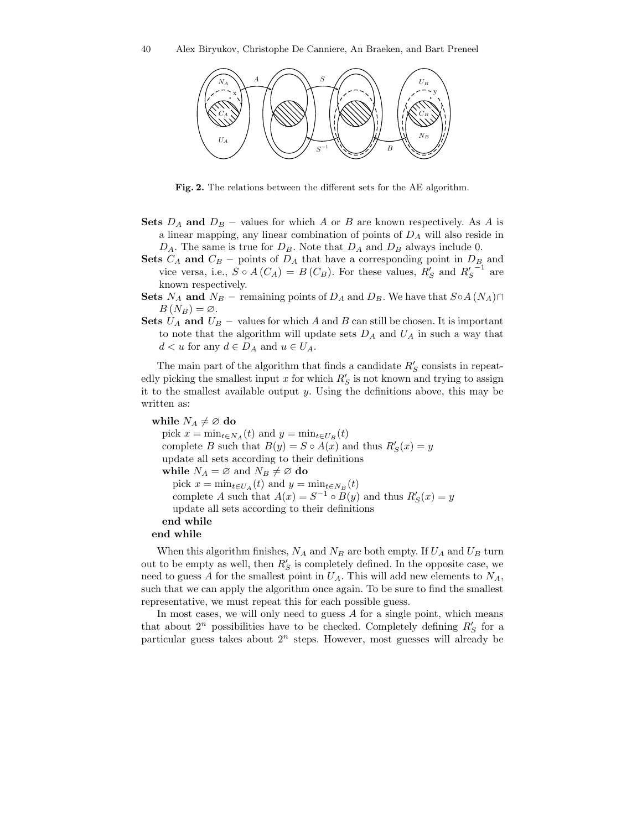

Fig. 2. The relations between the different sets for the AE algorithm.

- **Sets**  $D_A$  and  $D_B$  values for which A or B are known respectively. As A is a linear mapping, any linear combination of points of  $D_A$  will also reside in  $D_A$ . The same is true for  $D_B$ . Note that  $D_A$  and  $D_B$  always include 0.
- Sets  $C_A$  and  $C_B$  points of  $D_A$  that have a corresponding point in  $D_B$  and vice versa, i.e.,  $S \circ A(C_A) = B(C_B)$ . For these values,  $R'_S$  and  $R'_S$ <sup>-1</sup> are known respectively.

Sets  $N_A$  and  $N_B$  – remaining points of  $D_A$  and  $D_B$ . We have that  $S \circ A (N_A) \cap$  $B(N_B) = \varnothing$ .

Sets  $U_A$  and  $U_B$  – values for which A and B can still be chosen. It is important to note that the algorithm will update sets  $D_A$  and  $U_A$  in such a way that  $d < u$  for any  $d \in D_A$  and  $u \in U_A$ .

The main part of the algorithm that finds a candidate  $R'_S$  consists in repeatedly picking the smallest input x for which  $R'_{\mathcal{S}}$  is not known and trying to assign it to the smallest available output  $y$ . Using the definitions above, this may be written as:

```
while N_A \neq \emptyset do
  pick x = \min_{t \in N_A}(t) and y = \min_{t \in U_B}(t)complete B such that B(y) = S \circ A(x) and thus R'_{S}(x) = yupdate all sets according to their definitions
  while N_A = \emptyset and N_B \neq \emptyset do
     pick x = \min_{t \in U_A}(t) and y = \min_{t \in N_B}(t)complete A such that A(x) = S^{-1} \circ B(y) and thus R'_{S}(x) = yupdate all sets according to their definitions
  end while
end while
```
When this algorithm finishes,  $N_A$  and  $N_B$  are both empty. If  $U_A$  and  $U_B$  turn out to be empty as well, then  $R'_S$  is completely defined. In the opposite case, we need to guess A for the smallest point in  $U_A$ . This will add new elements to  $N_A$ , such that we can apply the algorithm once again. To be sure to find the smallest representative, we must repeat this for each possible guess.

In most cases, we will only need to guess  $A$  for a single point, which means that about  $2^n$  possibilities have to be checked. Completely defining  $R'_S$  for a particular guess takes about  $2^n$  steps. However, most guesses will already be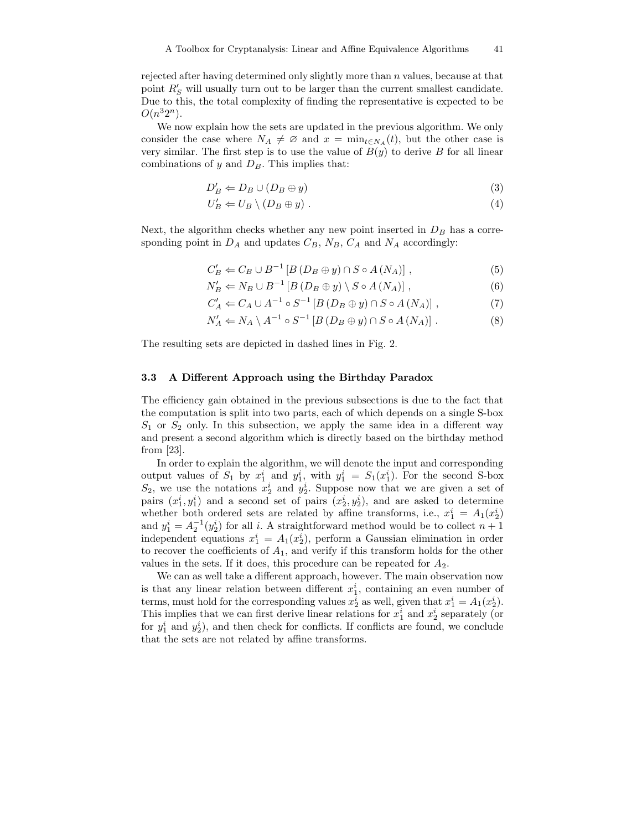rejected after having determined only slightly more than n values, because at that point  $R'_S$  will usually turn out to be larger than the current smallest candidate. Due to this, the total complexity of finding the representative is expected to be  $O(n^32^n)$ .

We now explain how the sets are updated in the previous algorithm. We only consider the case where  $N_A \neq \emptyset$  and  $x = \min_{t \in N_A}(t)$ , but the other case is very similar. The first step is to use the value of  $B(y)$  to derive B for all linear combinations of y and  $D_B$ . This implies that:

$$
D'_B \Leftarrow D_B \cup (D_B \oplus y) \tag{3}
$$

$$
U'_B \Leftarrow U_B \setminus (D_B \oplus y) \tag{4}
$$

Next, the algorithm checks whether any new point inserted in  $D_B$  has a corresponding point in  $D_A$  and updates  $C_B$ ,  $N_B$ ,  $C_A$  and  $N_A$  accordingly:

$$
C'_B \Leftarrow C_B \cup B^{-1} \left[ B \left( D_B \oplus y \right) \cap S \circ A \left( N_A \right) \right],\tag{5}
$$

$$
N'_{B} \Leftarrow N_{B} \cup B^{-1} \left[ B \left( D_{B} \oplus y \right) \setminus S \circ A \left( N_{A} \right) \right],\tag{6}
$$

$$
C'_A \Leftarrow C_A \cup A^{-1} \circ S^{-1} \left[ B \left( D_B \oplus y \right) \cap S \circ A \left( N_A \right) \right],\tag{7}
$$

$$
N'_A \Leftarrow N_A \setminus A^{-1} \circ S^{-1} \left[ B \left( D_B \oplus y \right) \cap S \circ A \left( N_A \right) \right]. \tag{8}
$$

The resulting sets are depicted in dashed lines in Fig. 2.

#### 3.3 A Different Approach using the Birthday Paradox

The efficiency gain obtained in the previous subsections is due to the fact that the computation is split into two parts, each of which depends on a single S-box  $S_1$  or  $S_2$  only. In this subsection, we apply the same idea in a different way and present a second algorithm which is directly based on the birthday method from [23].

In order to explain the algorithm, we will denote the input and corresponding output values of  $S_1$  by  $x_1^i$  and  $y_1^i$ , with  $y_1^i = S_1(x_1^i)$ . For the second S-box  $S_2$ , we use the notations  $x_2^i$  and  $y_2^i$ . Suppose now that we are given a set of pairs  $(x_1^i, y_1^i)$  and a second set of pairs  $(x_2^i, y_2^i)$ , and are asked to determine whether both ordered sets are related by affine transforms, i.e.,  $x_1^i = A_1(x_2^i)$ and  $y_1^i = A_2^{-1}(y_2^i)$  for all i. A straightforward method would be to collect  $n+1$ independent equations  $x_1^i = A_1(x_2^i)$ , perform a Gaussian elimination in order to recover the coefficients of  $A_1$ , and verify if this transform holds for the other values in the sets. If it does, this procedure can be repeated for  $A_2$ .

We can as well take a different approach, however. The main observation now is that any linear relation between different  $x_1^i$ , containing an even number of terms, must hold for the corresponding values  $x_2^i$  as well, given that  $x_1^i = A_1(x_2^i)$ . This implies that we can first derive linear relations for  $x_1^i$  and  $x_2^i$  separately (or for  $y_1^i$  and  $y_2^i$ ), and then check for conflicts. If conflicts are found, we conclude that the sets are not related by affine transforms.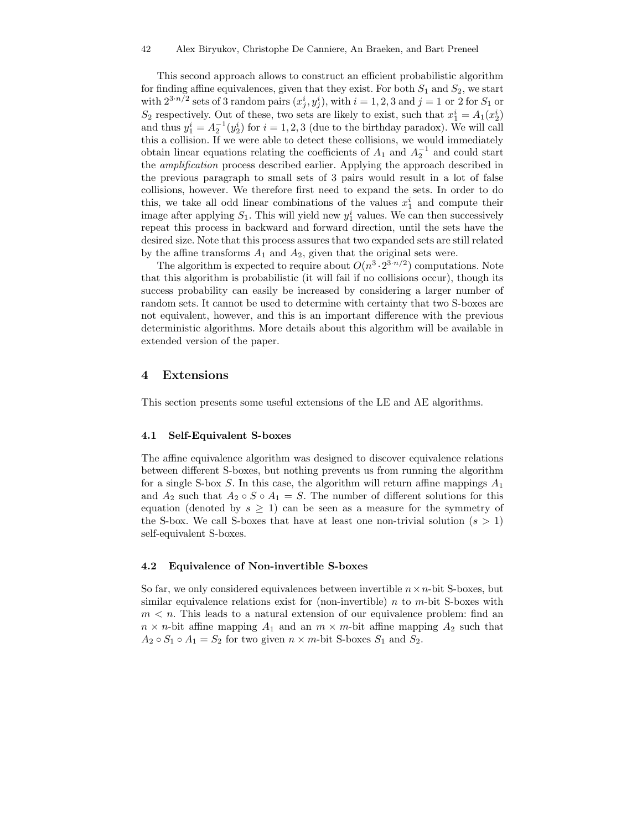This second approach allows to construct an efficient probabilistic algorithm for finding affine equivalences, given that they exist. For both  $S_1$  and  $S_2$ , we start with  $2^{3\cdot n/2}$  sets of 3 random pairs  $(x_j^i, y_j^i)$ , with  $i = 1, 2, 3$  and  $j = 1$  or 2 for  $S_1$  or  $S_2$  respectively. Out of these, two sets are likely to exist, such that  $x_1^i = A_1(x_2^i)$ and thus  $y_1^i = A_2^{-1}(y_2^i)$  for  $i = 1, 2, 3$  (due to the birthday paradox). We will call this a collision. If we were able to detect these collisions, we would immediately obtain linear equations relating the coefficients of  $A_1$  and  $A_2^{-1}$  and could start the amplification process described earlier. Applying the approach described in the previous paragraph to small sets of 3 pairs would result in a lot of false collisions, however. We therefore first need to expand the sets. In order to do this, we take all odd linear combinations of the values  $x_1^i$  and compute their image after applying  $S_1$ . This will yield new  $y_1^i$  values. We can then successively repeat this process in backward and forward direction, until the sets have the desired size. Note that this process assures that two expanded sets are still related by the affine transforms  $A_1$  and  $A_2$ , given that the original sets were.

The algorithm is expected to require about  $O(n^3 \cdot 2^{3 \cdot n/2})$  computations. Note that this algorithm is probabilistic (it will fail if no collisions occur), though its success probability can easily be increased by considering a larger number of random sets. It cannot be used to determine with certainty that two S-boxes are not equivalent, however, and this is an important difference with the previous deterministic algorithms. More details about this algorithm will be available in extended version of the paper.

## 4 Extensions

This section presents some useful extensions of the LE and AE algorithms.

#### 4.1 Self-Equivalent S-boxes

The affine equivalence algorithm was designed to discover equivalence relations between different S-boxes, but nothing prevents us from running the algorithm for a single S-box S. In this case, the algorithm will return affine mappings  $A_1$ and  $A_2$  such that  $A_2 \circ S \circ A_1 = S$ . The number of different solutions for this equation (denoted by  $s \geq 1$ ) can be seen as a measure for the symmetry of the S-box. We call S-boxes that have at least one non-trivial solution  $(s > 1)$ self-equivalent S-boxes.

#### 4.2 Equivalence of Non-invertible S-boxes

So far, we only considered equivalences between invertible  $n \times n$ -bit S-boxes, but similar equivalence relations exist for (non-invertible)  $n$  to  $m$ -bit S-boxes with  $m < n$ . This leads to a natural extension of our equivalence problem: find an  $n \times n$ -bit affine mapping  $A_1$  and an  $m \times m$ -bit affine mapping  $A_2$  such that  $A_2 \circ S_1 \circ A_1 = S_2$  for two given  $n \times m$ -bit S-boxes  $S_1$  and  $S_2$ .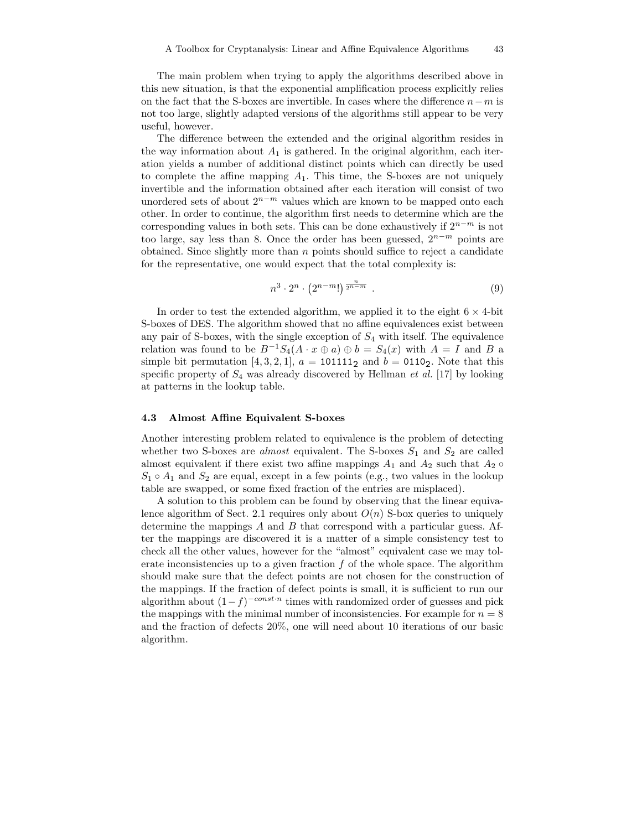The main problem when trying to apply the algorithms described above in this new situation, is that the exponential amplification process explicitly relies on the fact that the S-boxes are invertible. In cases where the difference  $n-m$  is not too large, slightly adapted versions of the algorithms still appear to be very useful, however.

The difference between the extended and the original algorithm resides in the way information about  $A_1$  is gathered. In the original algorithm, each iteration yields a number of additional distinct points which can directly be used to complete the affine mapping  $A_1$ . This time, the S-boxes are not uniquely invertible and the information obtained after each iteration will consist of two unordered sets of about  $2^{n-m}$  values which are known to be mapped onto each other. In order to continue, the algorithm first needs to determine which are the corresponding values in both sets. This can be done exhaustively if  $2^{n-m}$  is not too large, say less than 8. Once the order has been guessed,  $2^{n-m}$  points are obtained. Since slightly more than  $n$  points should suffice to reject a candidate for the representative, one would expect that the total complexity is:

$$
n^3 \cdot 2^n \cdot \left(2^{n-m}!\right) \overline{z^{n-m}} \ . \tag{9}
$$

In order to test the extended algorithm, we applied it to the eight  $6 \times 4$ -bit S-boxes of DES. The algorithm showed that no affine equivalences exist between any pair of S-boxes, with the single exception of  $S_4$  with itself. The equivalence relation was found to be  $B^{-1}S_4(A \cdot x \oplus a) \oplus b = S_4(x)$  with  $A = I$  and B a simple bit permutation [4, 3, 2, 1],  $a = 101111_2$  and  $b = 0110_2$ . Note that this specific property of  $S_4$  was already discovered by Hellman et al. [17] by looking at patterns in the lookup table.

#### 4.3 Almost Affine Equivalent S-boxes

Another interesting problem related to equivalence is the problem of detecting whether two S-boxes are *almost* equivalent. The S-boxes  $S_1$  and  $S_2$  are called almost equivalent if there exist two affine mappings  $A_1$  and  $A_2$  such that  $A_2 \circ$  $S_1 \circ A_1$  and  $S_2$  are equal, except in a few points (e.g., two values in the lookup table are swapped, or some fixed fraction of the entries are misplaced).

A solution to this problem can be found by observing that the linear equivalence algorithm of Sect. 2.1 requires only about  $O(n)$  S-box queries to uniquely determine the mappings  $A$  and  $B$  that correspond with a particular guess. After the mappings are discovered it is a matter of a simple consistency test to check all the other values, however for the "almost" equivalent case we may tolerate inconsistencies up to a given fraction  $f$  of the whole space. The algorithm should make sure that the defect points are not chosen for the construction of the mappings. If the fraction of defect points is small, it is sufficient to run our algorithm about  $(1-f)^{-const\cdot n}$  times with randomized order of guesses and pick the mappings with the minimal number of inconsistencies. For example for  $n = 8$ and the fraction of defects 20%, one will need about 10 iterations of our basic algorithm.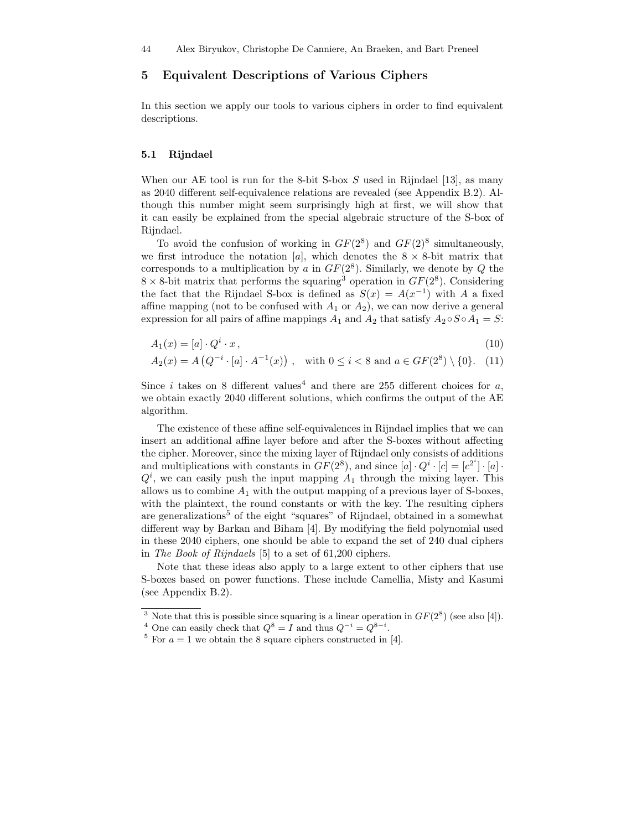## 5 Equivalent Descriptions of Various Ciphers

In this section we apply our tools to various ciphers in order to find equivalent descriptions.

#### 5.1 Rijndael

When our AE tool is run for the 8-bit S-box  $S$  used in Rijndael [13], as many as 2040 different self-equivalence relations are revealed (see Appendix B.2). Although this number might seem surprisingly high at first, we will show that it can easily be explained from the special algebraic structure of the S-box of Rijndael.

To avoid the confusion of working in  $GF(2^8)$  and  $GF(2)^8$  simultaneously, we first introduce the notation [a], which denotes the  $8 \times 8$ -bit matrix that corresponds to a multiplication by a in  $GF(2^8)$ . Similarly, we denote by Q the  $8 \times 8$ -bit matrix that performs the squaring<sup>3</sup> operation in  $GF(2^8)$ . Considering the fact that the Rijndael S-box is defined as  $S(x) = A(x^{-1})$  with A a fixed affine mapping (not to be confused with  $A_1$  or  $A_2$ ), we can now derive a general expression for all pairs of affine mappings  $A_1$  and  $A_2$  that satisfy  $A_2 \circ S \circ A_1 = S$ :

$$
A_1(x) = [a] \cdot Q^i \cdot x,\tag{10}
$$

$$
A_2(x) = A\left(Q^{-i} \cdot [a] \cdot A^{-1}(x)\right), \quad \text{with } 0 \le i < 8 \text{ and } a \in GF(2^8) \setminus \{0\}. \tag{11}
$$

Since i takes on 8 different values<sup>4</sup> and there are 255 different choices for a, we obtain exactly 2040 different solutions, which confirms the output of the AE algorithm.

The existence of these affine self-equivalences in Rijndael implies that we can insert an additional affine layer before and after the S-boxes without affecting the cipher. Moreover, since the mixing layer of Rijndael only consists of additions and multiplications with constants in  $GF(2^8)$ , and since  $[a] \cdot Q^i \cdot [c] = [c^{2^i}] \cdot [a] \cdot$  $Q<sup>i</sup>$ , we can easily push the input mapping  $A<sub>1</sub>$  through the mixing layer. This allows us to combine  $A_1$  with the output mapping of a previous layer of S-boxes, with the plaintext, the round constants or with the key. The resulting ciphers are generalizations<sup>5</sup> of the eight "squares" of Rijndael, obtained in a somewhat different way by Barkan and Biham [4]. By modifying the field polynomial used in these 2040 ciphers, one should be able to expand the set of 240 dual ciphers in The Book of Rijndaels [5] to a set of 61,200 ciphers.

Note that these ideas also apply to a large extent to other ciphers that use S-boxes based on power functions. These include Camellia, Misty and Kasumi (see Appendix B.2).

<sup>&</sup>lt;sup>3</sup> Note that this is possible since squaring is a linear operation in  $GF(2^8)$  (see also [4]).

<sup>&</sup>lt;sup>4</sup> One can easily check that  $Q^8 = I$  and thus  $Q^{-i} = Q^{8-i}$ .

<sup>&</sup>lt;sup>5</sup> For  $a = 1$  we obtain the 8 square ciphers constructed in [4].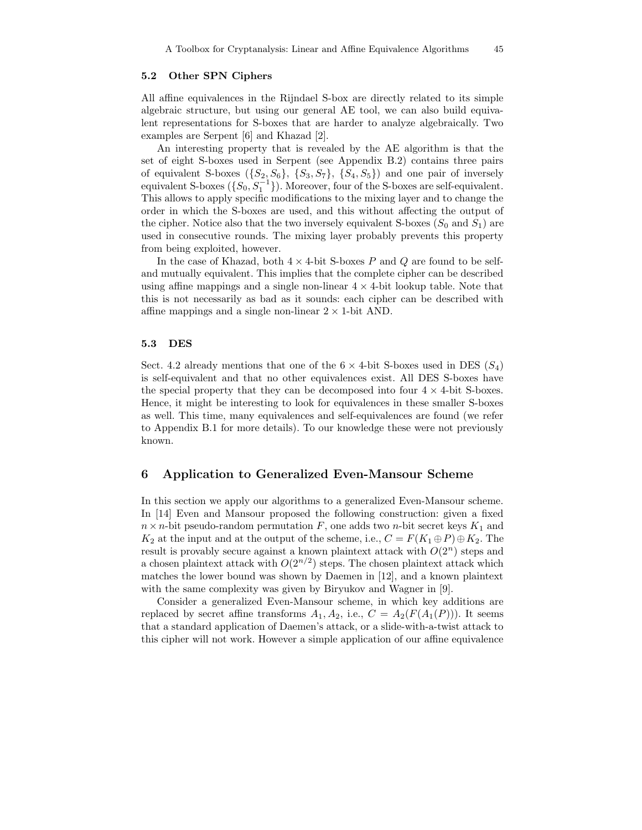#### 5.2 Other SPN Ciphers

All affine equivalences in the Rijndael S-box are directly related to its simple algebraic structure, but using our general AE tool, we can also build equivalent representations for S-boxes that are harder to analyze algebraically. Two examples are Serpent [6] and Khazad [2].

An interesting property that is revealed by the AE algorithm is that the set of eight S-boxes used in Serpent (see Appendix B.2) contains three pairs of equivalent S-boxes  $({S_2, S_6}, {S_3, S_7}, {S_4, S_5})$  and one pair of inversely equivalent S-boxes  $({S_0, S_1^{-1}})$ . Moreover, four of the S-boxes are self-equivalent. This allows to apply specific modifications to the mixing layer and to change the order in which the S-boxes are used, and this without affecting the output of the cipher. Notice also that the two inversely equivalent S-boxes  $(S_0 \text{ and } S_1)$  are used in consecutive rounds. The mixing layer probably prevents this property from being exploited, however.

In the case of Khazad, both  $4 \times 4$ -bit S-boxes P and Q are found to be selfand mutually equivalent. This implies that the complete cipher can be described using affine mappings and a single non-linear  $4 \times 4$ -bit lookup table. Note that this is not necessarily as bad as it sounds: each cipher can be described with affine mappings and a single non-linear  $2 \times 1$ -bit AND.

#### 5.3 DES

Sect. 4.2 already mentions that one of the  $6 \times 4$ -bit S-boxes used in DES  $(S_4)$ is self-equivalent and that no other equivalences exist. All DES S-boxes have the special property that they can be decomposed into four  $4 \times 4$ -bit S-boxes. Hence, it might be interesting to look for equivalences in these smaller S-boxes as well. This time, many equivalences and self-equivalences are found (we refer to Appendix B.1 for more details). To our knowledge these were not previously known.

#### 6 Application to Generalized Even-Mansour Scheme

In this section we apply our algorithms to a generalized Even-Mansour scheme. In [14] Even and Mansour proposed the following construction: given a fixed  $n \times n$ -bit pseudo-random permutation F, one adds two n-bit secret keys  $K_1$  and  $K_2$  at the input and at the output of the scheme, i.e.,  $C = F(K_1 \oplus P) \oplus K_2$ . The result is provably secure against a known plaintext attack with  $O(2^n)$  steps and a chosen plaintext attack with  $O(2^{n/2})$  steps. The chosen plaintext attack which matches the lower bound was shown by Daemen in [12], and a known plaintext with the same complexity was given by Biryukov and Wagner in [9].

Consider a generalized Even-Mansour scheme, in which key additions are replaced by secret affine transforms  $A_1, A_2$ , i.e.,  $C = A_2(F(A_1(P)))$ . It seems that a standard application of Daemen's attack, or a slide-with-a-twist attack to this cipher will not work. However a simple application of our affine equivalence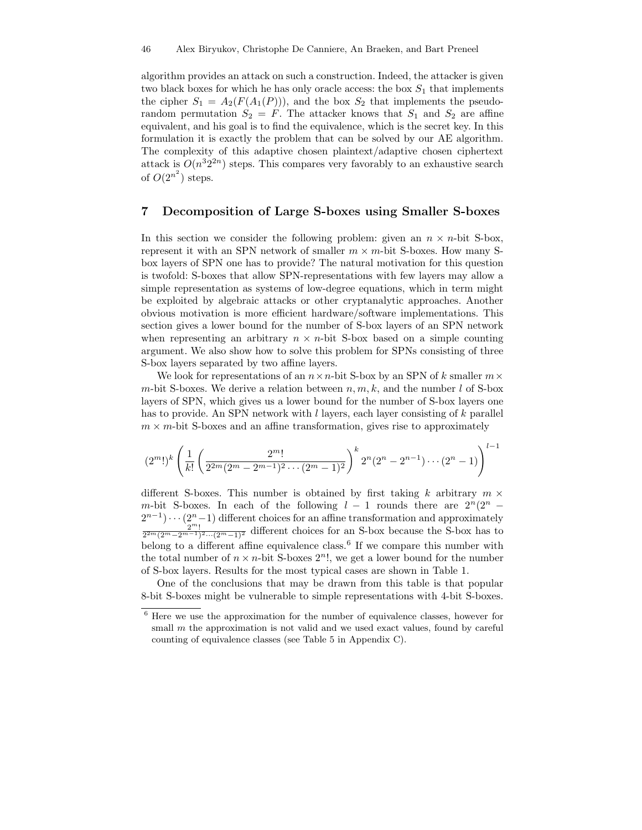algorithm provides an attack on such a construction. Indeed, the attacker is given two black boxes for which he has only oracle access: the box  $S_1$  that implements the cipher  $S_1 = A_2(F(A_1(P)))$ , and the box  $S_2$  that implements the pseudorandom permutation  $S_2 = F$ . The attacker knows that  $S_1$  and  $S_2$  are affine equivalent, and his goal is to find the equivalence, which is the secret key. In this formulation it is exactly the problem that can be solved by our AE algorithm. The complexity of this adaptive chosen plaintext/adaptive chosen ciphertext attack is  $O(n^{3}2^{2n})$  steps. This compares very favorably to an exhaustive search of  $O(2^{n^2})$  steps.

## 7 Decomposition of Large S-boxes using Smaller S-boxes

In this section we consider the following problem: given an  $n \times n$ -bit S-box, represent it with an SPN network of smaller  $m \times m$ -bit S-boxes. How many Sbox layers of SPN one has to provide? The natural motivation for this question is twofold: S-boxes that allow SPN-representations with few layers may allow a simple representation as systems of low-degree equations, which in term might be exploited by algebraic attacks or other cryptanalytic approaches. Another obvious motivation is more efficient hardware/software implementations. This section gives a lower bound for the number of S-box layers of an SPN network when representing an arbitrary  $n \times n$ -bit S-box based on a simple counting argument. We also show how to solve this problem for SPNs consisting of three S-box layers separated by two affine layers.

We look for representations of an  $n \times n$ -bit S-box by an SPN of k smaller  $m \times$ m-bit S-boxes. We derive a relation between  $n, m, k$ , and the number l of S-box layers of SPN, which gives us a lower bound for the number of S-box layers one has to provide. An SPN network with  $l$  layers, each layer consisting of  $k$  parallel  $m \times m$ -bit S-boxes and an affine transformation, gives rise to approximately

$$
(2^m!)^k \left(\frac{1}{k!} \left(\frac{2^m!}{2^{2m}(2^m-2^{m-1})^2\cdots (2^m-1)^2}\right)^k 2^n (2^n-2^{n-1})\cdots (2^n-1)\right)^{l-1}
$$

different S-boxes. This number is obtained by first taking k arbitrary  $m \times$ m-bit S-boxes. In each of the following  $l - 1$  rounds there are  $2^{n}(2^{n} - 1)$  $2^{n-1}$ ) · · ·  $(2^n-1)$  different choices for an affine transformation and approximately  $\frac{2^m}{2^{2m}(2^m-2^{m-1})^2\cdots(2^m-1)^2}$  different choices for an S-box because the S-box has to belong to a different affine equivalence class.<sup>6</sup> If we compare this number with the total number of  $n \times n$ -bit S-boxes  $2^n!$ , we get a lower bound for the number of S-box layers. Results for the most typical cases are shown in Table 1.

One of the conclusions that may be drawn from this table is that popular 8-bit S-boxes might be vulnerable to simple representations with 4-bit S-boxes.

<sup>6</sup> Here we use the approximation for the number of equivalence classes, however for small  $m$  the approximation is not valid and we used exact values, found by careful counting of equivalence classes (see Table 5 in Appendix C).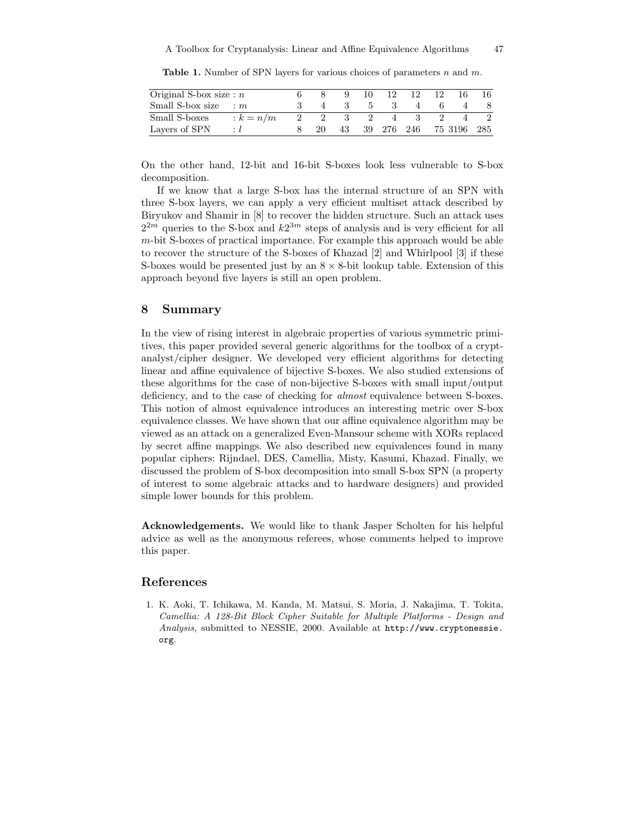**Table 1.** Number of SPN layers for various choices of parameters  $n$  and  $m$ .

| Original S-box size: $n$ |           |      |    | 10 | 12.        | 12 | 12. |             | 16. |
|--------------------------|-----------|------|----|----|------------|----|-----|-------------|-----|
| Small S-box size : $m$   |           |      |    |    |            |    |     |             |     |
| Small S-boxes            | $k = n/m$ | 2    |    |    | 4          |    |     |             |     |
| Layers of SPN            |           | -20- | 43 |    | 39 276 246 |    |     | 75 3196 285 |     |

On the other hand, 12-bit and 16-bit S-boxes look less vulnerable to S-box decomposition.

If we know that a large S-box has the internal structure of an SPN with three S-box layers, we can apply a very efficient multiset attack described by Biryukov and Shamir in [8] to recover the hidden structure. Such an attack uses  $2^{2m}$  queries to the S-box and  $k2^{3m}$  steps of analysis and is very efficient for all  $m$ -bit S-boxes of practical importance. For example this approach would be able to recover the structure of the S-boxes of Khazad [2] and Whirlpool [3] if these S-boxes would be presented just by an  $8 \times 8$ -bit lookup table. Extension of this approach beyond five layers is still an open problem.

## 8 Summary

In the view of rising interest in algebraic properties of various symmetric primitives, this paper provided several generic algorithms for the toolbox of a cryptanalyst/cipher designer. We developed very efficient algorithms for detecting linear and affine equivalence of bijective S-boxes. We also studied extensions of these algorithms for the case of non-bijective S-boxes with small input/output deficiency, and to the case of checking for *almost* equivalence between S-boxes. This notion of almost equivalence introduces an interesting metric over S-box equivalence classes. We have shown that our affine equivalence algorithm may be viewed as an attack on a generalized Even-Mansour scheme with XORs replaced by secret affine mappings. We also described new equivalences found in many popular ciphers: Rijndael, DES, Camellia, Misty, Kasumi, Khazad. Finally, we discussed the problem of S-box decomposition into small S-box SPN (a property of interest to some algebraic attacks and to hardware designers) and provided simple lower bounds for this problem.

Acknowledgements. We would like to thank Jasper Scholten for his helpful advice as well as the anonymous referees, whose comments helped to improve this paper.

## References

1. K. Aoki, T. Ichikawa, M. Kanda, M. Matsui, S. Moria, J. Nakajima, T. Tokita, Camellia: A 128-Bit Block Cipher Suitable for Multiple Platforms - Design and Analysis, submitted to NESSIE, 2000. Available at http://www.cryptonessie. org.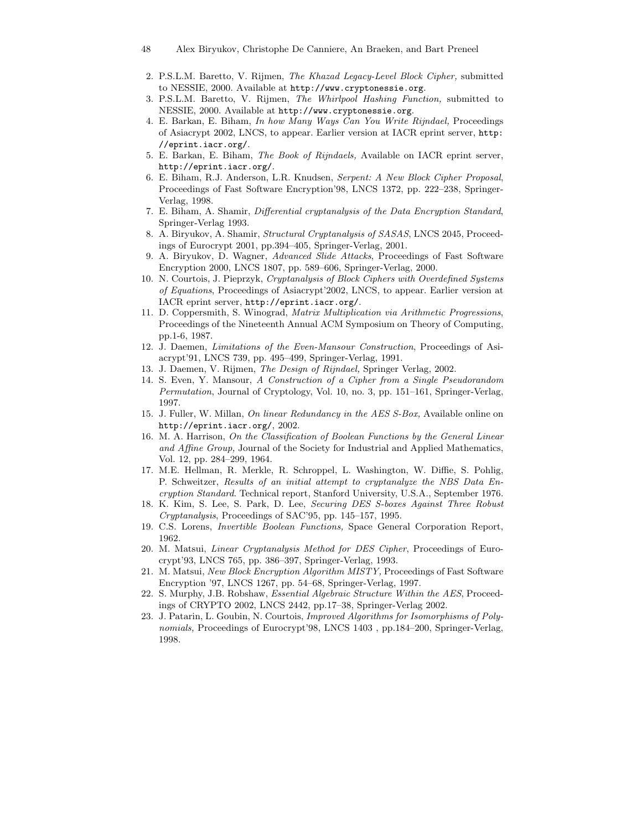48 Alex Biryukov, Christophe De Canniere, An Braeken, and Bart Preneel

- 2. P.S.L.M. Baretto, V. Rijmen, The Khazad Legacy-Level Block Cipher, submitted to NESSIE, 2000. Available at http://www.cryptonessie.org.
- 3. P.S.L.M. Baretto, V. Rijmen, The Whirlpool Hashing Function, submitted to NESSIE, 2000. Available at http://www.cryptonessie.org.
- 4. E. Barkan, E. Biham, In how Many Ways Can You Write Rijndael, Proceedings of Asiacrypt 2002, LNCS, to appear. Earlier version at IACR eprint server, http: //eprint.iacr.org/.
- 5. E. Barkan, E. Biham, The Book of Rijndaels, Available on IACR eprint server, http://eprint.iacr.org/.
- 6. E. Biham, R.J. Anderson, L.R. Knudsen, Serpent: A New Block Cipher Proposal, Proceedings of Fast Software Encryption'98, LNCS 1372, pp. 222–238, Springer-Verlag, 1998.
- 7. E. Biham, A. Shamir, Differential cryptanalysis of the Data Encryption Standard, Springer-Verlag 1993.
- 8. A. Biryukov, A. Shamir, Structural Cryptanalysis of SASAS, LNCS 2045, Proceedings of Eurocrypt 2001, pp.394–405, Springer-Verlag, 2001.
- 9. A. Biryukov, D. Wagner, Advanced Slide Attacks, Proceedings of Fast Software Encryption 2000, LNCS 1807, pp. 589–606, Springer-Verlag, 2000.
- 10. N. Courtois, J. Pieprzyk, Cryptanalysis of Block Ciphers with Overdefined Systems of Equations, Proceedings of Asiacrypt'2002, LNCS, to appear. Earlier version at IACR eprint server, http://eprint.iacr.org/.
- 11. D. Coppersmith, S. Winograd, Matrix Multiplication via Arithmetic Progressions, Proceedings of the Nineteenth Annual ACM Symposium on Theory of Computing, pp.1-6, 1987.
- 12. J. Daemen, Limitations of the Even-Mansour Construction, Proceedings of Asiacrypt'91, LNCS 739, pp. 495–499, Springer-Verlag, 1991.
- 13. J. Daemen, V. Rijmen, The Design of Rijndael, Springer Verlag, 2002.
- 14. S. Even, Y. Mansour, A Construction of a Cipher from a Single Pseudorandom Permutation, Journal of Cryptology, Vol. 10, no. 3, pp. 151–161, Springer-Verlag, 1997.
- 15. J. Fuller, W. Millan, On linear Redundancy in the AES S-Box, Available online on http://eprint.iacr.org/, 2002.
- 16. M. A. Harrison, On the Classification of Boolean Functions by the General Linear and Affine Group, Journal of the Society for Industrial and Applied Mathematics, Vol. 12, pp. 284–299, 1964.
- 17. M.E. Hellman, R. Merkle, R. Schroppel, L. Washington, W. Diffie, S. Pohlig, P. Schweitzer, Results of an initial attempt to cryptanalyze the NBS Data Encryption Standard. Technical report, Stanford University, U.S.A., September 1976.
- 18. K. Kim, S. Lee, S. Park, D. Lee, Securing DES S-boxes Against Three Robust Cryptanalysis, Proceedings of SAC'95, pp. 145–157, 1995.
- 19. C.S. Lorens, Invertible Boolean Functions, Space General Corporation Report, 1962.
- 20. M. Matsui, Linear Cryptanalysis Method for DES Cipher, Proceedings of Eurocrypt'93, LNCS 765, pp. 386–397, Springer-Verlag, 1993.
- 21. M. Matsui, New Block Encryption Algorithm MISTY, Proceedings of Fast Software Encryption '97, LNCS 1267, pp. 54–68, Springer-Verlag, 1997.
- 22. S. Murphy, J.B. Robshaw, Essential Algebraic Structure Within the AES, Proceedings of CRYPTO 2002, LNCS 2442, pp.17–38, Springer-Verlag 2002.
- 23. J. Patarin, L. Goubin, N. Courtois, Improved Algorithms for Isomorphisms of Polynomials, Proceedings of Eurocrypt'98, LNCS 1403, pp.184-200, Springer-Verlag, 1998.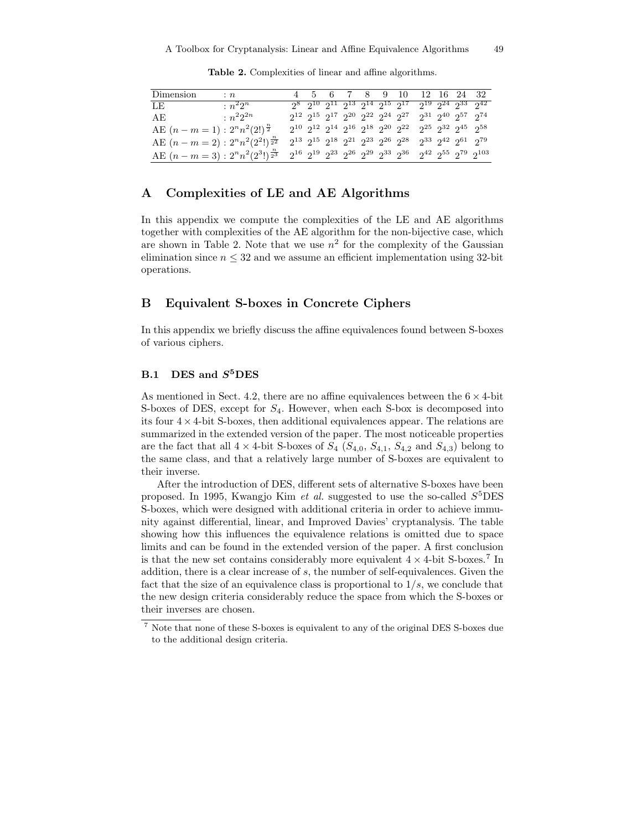| Dimension                                    | $\colon n$ |  |  |  | 4 5 6 7 8 9 10 12 16 24 32                                                                                                  |  |  |
|----------------------------------------------|------------|--|--|--|-----------------------------------------------------------------------------------------------------------------------------|--|--|
| $LE$ and $E$ and $E$ and $E$ and $E$ and $E$ | $n^22^n$   |  |  |  | $2^8$ $2^{10}$ $2^{11}$ $2^{13}$ $2^{14}$ $2^{15}$ $2^{17}$ $2^{19}$ $2^{24}$ $2^{33}$ $2^{42}$                             |  |  |
| AE : $n^2 2^{2n}$                            |            |  |  |  | $2^{12} \ 2^{15} \ 2^{17} \ 2^{20} \ 2^{22} \ 2^{24} \ 2^{27} \ 2^{31} \ 2^{40} \ 2^{57} \ 2^{74}$                          |  |  |
| AE $(n-m=1): 2^n n^2 (2!)^{\frac{n}{2}}$     |            |  |  |  | $2^{10} \ 2^{12} \ 2^{14} \ 2^{16} \ 2^{18} \ 2^{20} \ 2^{22} \ 2^{25} \ 2^{32} \ 2^{45} \ 2^{58}$                          |  |  |
| AE $(n-m=2): 2^n n^2 (2^2!)^{\frac{n}{2^2}}$ |            |  |  |  | $2^{13} \ \ 2^{15} \ \ 2^{18} \ \ 2^{21} \ \ 2^{23} \ \ 2^{26} \ \ 2^{28} \quad 2^{33} \ \ 2^{42} \ \ 2^{61} \ \ 2^{79}$    |  |  |
| AE $(n-m=3): 2^n n^2 (2^3!)^{\frac{n}{2^3}}$ |            |  |  |  | $2^{16} \ \ 2^{19} \ \ 2^{23} \ \ 2^{26} \ \ 2^{29} \ \ 2^{33} \ \ 2^{36} \quad \ 2^{42} \ \ 2^{55} \ \ 2^{79} \ \ 2^{103}$ |  |  |

Table 2. Complexities of linear and affine algorithms.

## A Complexities of LE and AE Algorithms

In this appendix we compute the complexities of the LE and AE algorithms together with complexities of the AE algorithm for the non-bijective case, which are shown in Table 2. Note that we use  $n^2$  for the complexity of the Gaussian elimination since  $n \leq 32$  and we assume an efficient implementation using 32-bit operations.

## B Equivalent S-boxes in Concrete Ciphers

In this appendix we briefly discuss the affine equivalences found between S-boxes of various ciphers.

## $B.1$  DES and  $S<sup>5</sup>$ DES

As mentioned in Sect. 4.2, there are no affine equivalences between the  $6 \times 4$ -bit S-boxes of DES, except for  $S_4$ . However, when each S-box is decomposed into its four  $4 \times 4$ -bit S-boxes, then additional equivalences appear. The relations are summarized in the extended version of the paper. The most noticeable properties are the fact that all  $4 \times 4$ -bit S-boxes of  $S_4$  ( $S_{4,0}$ ,  $S_{4,1}$ ,  $S_{4,2}$  and  $S_{4,3}$ ) belong to the same class, and that a relatively large number of S-boxes are equivalent to their inverse.

After the introduction of DES, different sets of alternative S-boxes have been proposed. In 1995, Kwangjo Kim *et al.* suggested to use the so-called  $S^5$ DES S-boxes, which were designed with additional criteria in order to achieve immunity against differential, linear, and Improved Davies' cryptanalysis. The table showing how this influences the equivalence relations is omitted due to space limits and can be found in the extended version of the paper. A first conclusion is that the new set contains considerably more equivalent  $4 \times 4$ -bit S-boxes.<sup>7</sup> In addition, there is a clear increase of  $s$ , the number of self-equivalences. Given the fact that the size of an equivalence class is proportional to  $1/s$ , we conclude that the new design criteria considerably reduce the space from which the S-boxes or their inverses are chosen.

<sup>7</sup> Note that none of these S-boxes is equivalent to any of the original DES S-boxes due to the additional design criteria.